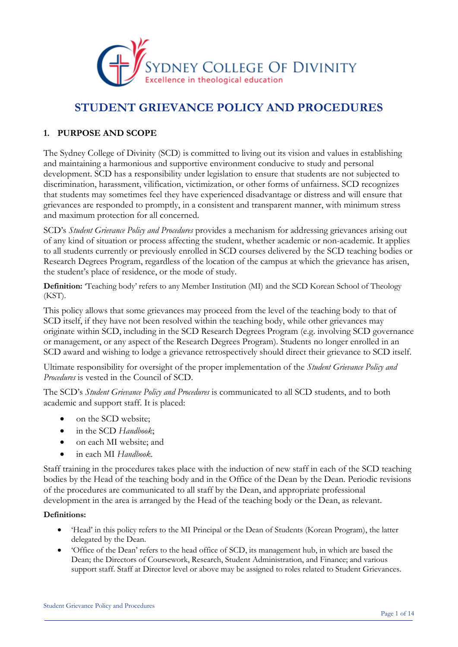

## **STUDENT GRIEVANCE POLICY AND PROCEDURES**

### **1. PURPOSE AND SCOPE**

The Sydney College of Divinity (SCD) is committed to living out its vision and values in establishing and maintaining a harmonious and supportive environment conducive to study and personal development. SCD has a responsibility under legislation to ensure that students are not subjected to discrimination, harassment, vilification, victimization, or other forms of unfairness. SCD recognizes that students may sometimes feel they have experienced disadvantage or distress and will ensure that grievances are responded to promptly, in a consistent and transparent manner, with minimum stress and maximum protection for all concerned.

SCD's *Student Grievance Policy and Procedures* provides a mechanism for addressing grievances arising out of any kind of situation or process affecting the student, whether academic or non-academic. It applies to all students currently or previously enrolled in SCD courses delivered by the SCD teaching bodies or Research Degrees Program, regardless of the location of the campus at which the grievance has arisen, the student's place of residence, or the mode of study.

**Definition:** 'Teaching body' refers to any Member Institution (MI) and the SCD Korean School of Theology (KST).

This policy allows that some grievances may proceed from the level of the teaching body to that of SCD itself, if they have not been resolved within the teaching body, while other grievances may originate within SCD, including in the SCD Research Degrees Program (e.g. involving SCD governance or management, or any aspect of the Research Degrees Program). Students no longer enrolled in an SCD award and wishing to lodge a grievance retrospectively should direct their grievance to SCD itself.

Ultimate responsibility for oversight of the proper implementation of the *Student Grievance Policy and Procedures* is vested in the Council of SCD.

The SCD's *Student Grievance Policy and Procedures* is communicated to all SCD students, and to both academic and support staff. It is placed:

- on the SCD website;
- in the SCD *Handbook*;
- on each MI website; and
- in each MI *Handbook*.

Staff training in the procedures takes place with the induction of new staff in each of the SCD teaching bodies by the Head of the teaching body and in the Office of the Dean by the Dean. Periodic revisions of the procedures are communicated to all staff by the Dean, and appropriate professional development in the area is arranged by the Head of the teaching body or the Dean, as relevant.

#### **Definitions:**

- 'Head' in this policy refers to the MI Principal or the Dean of Students (Korean Program), the latter delegated by the Dean.
- 'Office of the Dean' refers to the head office of SCD, its management hub, in which are based the Dean; the Directors of Coursework, Research, Student Administration, and Finance; and various support staff. Staff at Director level or above may be assigned to roles related to Student Grievances.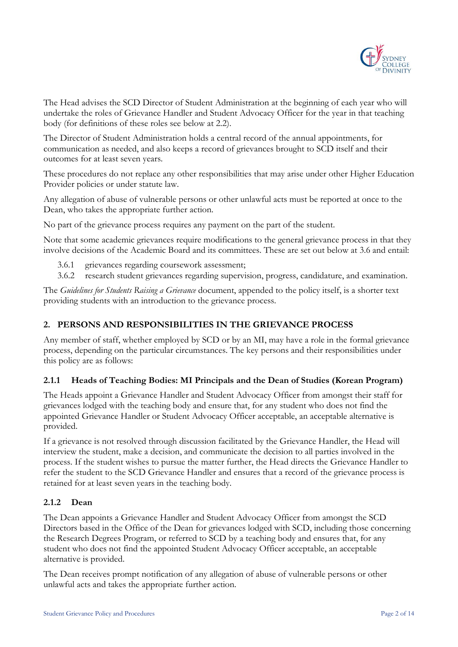

The Head advises the SCD Director of Student Administration at the beginning of each year who will undertake the roles of Grievance Handler and Student Advocacy Officer for the year in that teaching body (for definitions of these roles see below at 2.2).

The Director of Student Administration holds a central record of the annual appointments, for communication as needed, and also keeps a record of grievances brought to SCD itself and their outcomes for at least seven years.

These procedures do not replace any other responsibilities that may arise under other Higher Education Provider policies or under statute law.

Any allegation of abuse of vulnerable persons or other unlawful acts must be reported at once to the Dean, who takes the appropriate further action.

No part of the grievance process requires any payment on the part of the student.

Note that some academic grievances require modifications to the general grievance process in that they involve decisions of the Academic Board and its committees. These are set out below at 3.6 and entail:

- 3.6.1 grievances regarding coursework assessment;
- 3.6.2 research student grievances regarding supervision, progress, candidature, and examination.

The *Guidelines for Students Raising a Grievance* document, appended to the policy itself, is a shorter text providing students with an introduction to the grievance process.

#### **2. PERSONS AND RESPONSIBILITIES IN THE GRIEVANCE PROCESS**

Any member of staff, whether employed by SCD or by an MI, may have a role in the formal grievance process, depending on the particular circumstances. The key persons and their responsibilities under this policy are as follows:

#### **2.1.1 Heads of Teaching Bodies: MI Principals and the Dean of Studies (Korean Program)**

The Heads appoint a Grievance Handler and Student Advocacy Officer from amongst their staff for grievances lodged with the teaching body and ensure that, for any student who does not find the appointed Grievance Handler or Student Advocacy Officer acceptable, an acceptable alternative is provided.

If a grievance is not resolved through discussion facilitated by the Grievance Handler, the Head will interview the student, make a decision, and communicate the decision to all parties involved in the process. If the student wishes to pursue the matter further, the Head directs the Grievance Handler to refer the student to the SCD Grievance Handler and ensures that a record of the grievance process is retained for at least seven years in the teaching body.

#### **2.1.2 Dean**

The Dean appoints a Grievance Handler and Student Advocacy Officer from amongst the SCD Directors based in the Office of the Dean for grievances lodged with SCD, including those concerning the Research Degrees Program, or referred to SCD by a teaching body and ensures that, for any student who does not find the appointed Student Advocacy Officer acceptable, an acceptable alternative is provided.

The Dean receives prompt notification of any allegation of abuse of vulnerable persons or other unlawful acts and takes the appropriate further action.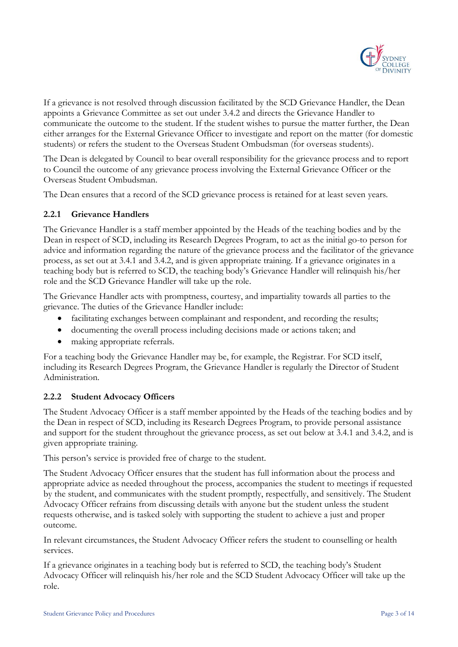

If a grievance is not resolved through discussion facilitated by the SCD Grievance Handler, the Dean appoints a Grievance Committee as set out under 3.4.2 and directs the Grievance Handler to communicate the outcome to the student. If the student wishes to pursue the matter further, the Dean either arranges for the External Grievance Officer to investigate and report on the matter (for domestic students) or refers the student to the Overseas Student Ombudsman (for overseas students).

The Dean is delegated by Council to bear overall responsibility for the grievance process and to report to Council the outcome of any grievance process involving the External Grievance Officer or the Overseas Student Ombudsman.

The Dean ensures that a record of the SCD grievance process is retained for at least seven years.

#### **2.2.1 Grievance Handlers**

The Grievance Handler is a staff member appointed by the Heads of the teaching bodies and by the Dean in respect of SCD, including its Research Degrees Program, to act as the initial go-to person for advice and information regarding the nature of the grievance process and the facilitator of the grievance process, as set out at 3.4.1 and 3.4.2, and is given appropriate training. If a grievance originates in a teaching body but is referred to SCD, the teaching body's Grievance Handler will relinquish his/her role and the SCD Grievance Handler will take up the role.

The Grievance Handler acts with promptness, courtesy, and impartiality towards all parties to the grievance. The duties of the Grievance Handler include:

- facilitating exchanges between complainant and respondent, and recording the results;
- documenting the overall process including decisions made or actions taken; and
- making appropriate referrals.

For a teaching body the Grievance Handler may be, for example, the Registrar. For SCD itself, including its Research Degrees Program, the Grievance Handler is regularly the Director of Student Administration.

#### **2.2.2 Student Advocacy Officers**

The Student Advocacy Officer is a staff member appointed by the Heads of the teaching bodies and by the Dean in respect of SCD, including its Research Degrees Program, to provide personal assistance and support for the student throughout the grievance process, as set out below at 3.4.1 and 3.4.2, and is given appropriate training.

This person's service is provided free of charge to the student.

The Student Advocacy Officer ensures that the student has full information about the process and appropriate advice as needed throughout the process, accompanies the student to meetings if requested by the student, and communicates with the student promptly, respectfully, and sensitively. The Student Advocacy Officer refrains from discussing details with anyone but the student unless the student requests otherwise, and is tasked solely with supporting the student to achieve a just and proper outcome.

In relevant circumstances, the Student Advocacy Officer refers the student to counselling or health services.

If a grievance originates in a teaching body but is referred to SCD, the teaching body's Student Advocacy Officer will relinquish his/her role and the SCD Student Advocacy Officer will take up the role.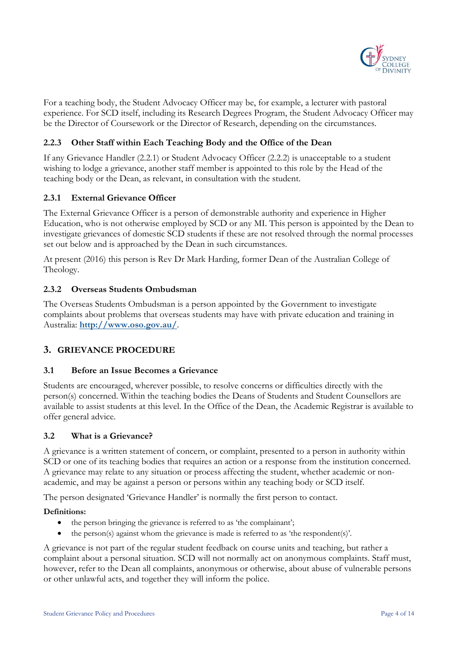

For a teaching body, the Student Advocacy Officer may be, for example, a lecturer with pastoral experience. For SCD itself, including its Research Degrees Program, the Student Advocacy Officer may be the Director of Coursework or the Director of Research, depending on the circumstances.

#### **2.2.3 Other Staff within Each Teaching Body and the Office of the Dean**

If any Grievance Handler (2.2.1) or Student Advocacy Officer (2.2.2) is unacceptable to a student wishing to lodge a grievance, another staff member is appointed to this role by the Head of the teaching body or the Dean, as relevant, in consultation with the student.

#### **2.3.1 External Grievance Officer**

The External Grievance Officer is a person of demonstrable authority and experience in Higher Education, who is not otherwise employed by SCD or any MI. This person is appointed by the Dean to investigate grievances of domestic SCD students if these are not resolved through the normal processes set out below and is approached by the Dean in such circumstances.

At present (2016) this person is Rev Dr Mark Harding, former Dean of the Australian College of Theology.

#### **2.3.2 Overseas Students Ombudsman**

The Overseas Students Ombudsman is a person appointed by the Government to investigate complaints about problems that overseas students may have with private education and training in Australia: **<http://www.oso.gov.au/>**.

#### **3. GRIEVANCE PROCEDURE**

#### **3.1 Before an Issue Becomes a Grievance**

Students are encouraged, wherever possible, to resolve concerns or difficulties directly with the person(s) concerned. Within the teaching bodies the Deans of Students and Student Counsellors are available to assist students at this level. In the Office of the Dean, the Academic Registrar is available to offer general advice.

#### **3.2 What is a Grievance?**

A grievance is a written statement of concern, or complaint, presented to a person in authority within SCD or one of its teaching bodies that requires an action or a response from the institution concerned. A grievance may relate to any situation or process affecting the student, whether academic or nonacademic, and may be against a person or persons within any teaching body or SCD itself.

The person designated 'Grievance Handler' is normally the first person to contact.

#### **Definitions:**

- the person bringing the grievance is referred to as 'the complainant';
- the person(s) against whom the grievance is made is referred to as 'the respondent(s)'.

A grievance is not part of the regular student feedback on course units and teaching, but rather a complaint about a personal situation. SCD will not normally act on anonymous complaints. Staff must, however, refer to the Dean all complaints, anonymous or otherwise, about abuse of vulnerable persons or other unlawful acts, and together they will inform the police.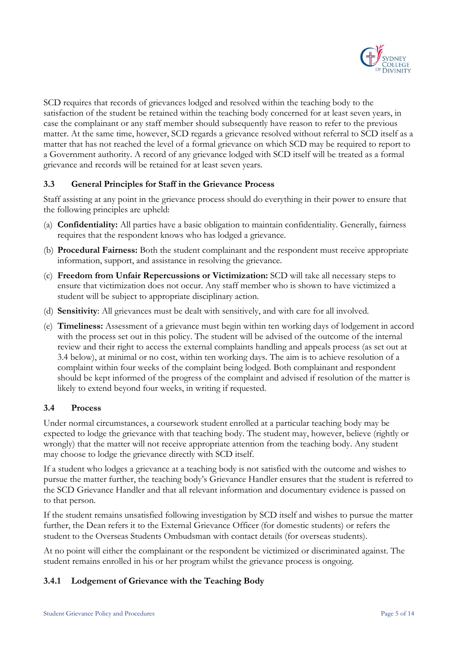

SCD requires that records of grievances lodged and resolved within the teaching body to the satisfaction of the student be retained within the teaching body concerned for at least seven years, in case the complainant or any staff member should subsequently have reason to refer to the previous matter. At the same time, however, SCD regards a grievance resolved without referral to SCD itself as a matter that has not reached the level of a formal grievance on which SCD may be required to report to a Government authority. A record of any grievance lodged with SCD itself will be treated as a formal grievance and records will be retained for at least seven years.

#### **3.3 General Principles for Staff in the Grievance Process**

Staff assisting at any point in the grievance process should do everything in their power to ensure that the following principles are upheld:

- (a) **Confidentiality:** All parties have a basic obligation to maintain confidentiality. Generally, fairness requires that the respondent knows who has lodged a grievance.
- (b) **Procedural Fairness:** Both the student complainant and the respondent must receive appropriate information, support, and assistance in resolving the grievance.
- (c) **Freedom from Unfair Repercussions or Victimization:** SCD will take all necessary steps to ensure that victimization does not occur. Any staff member who is shown to have victimized a student will be subject to appropriate disciplinary action.
- (d) **Sensitivity**: All grievances must be dealt with sensitively, and with care for all involved.
- (e) **Timeliness:** Assessment of a grievance must begin within ten working days of lodgement in accord with the process set out in this policy. The student will be advised of the outcome of the internal review and their right to access the external complaints handling and appeals process (as set out at 3.4 below), at minimal or no cost, within ten working days. The aim is to achieve resolution of a complaint within four weeks of the complaint being lodged. Both complainant and respondent should be kept informed of the progress of the complaint and advised if resolution of the matter is likely to extend beyond four weeks, in writing if requested.

#### **3.4 Process**

Under normal circumstances, a coursework student enrolled at a particular teaching body may be expected to lodge the grievance with that teaching body. The student may, however, believe (rightly or wrongly) that the matter will not receive appropriate attention from the teaching body. Any student may choose to lodge the grievance directly with SCD itself.

If a student who lodges a grievance at a teaching body is not satisfied with the outcome and wishes to pursue the matter further, the teaching body's Grievance Handler ensures that the student is referred to the SCD Grievance Handler and that all relevant information and documentary evidence is passed on to that person.

If the student remains unsatisfied following investigation by SCD itself and wishes to pursue the matter further, the Dean refers it to the External Grievance Officer (for domestic students) or refers the student to the Overseas Students Ombudsman with contact details (for overseas students).

At no point will either the complainant or the respondent be victimized or discriminated against. The student remains enrolled in his or her program whilst the grievance process is ongoing.

#### **3.4.1 Lodgement of Grievance with the Teaching Body**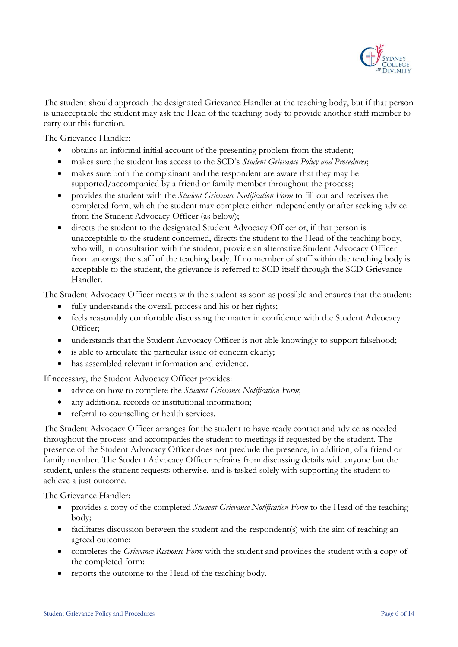

The student should approach the designated Grievance Handler at the teaching body, but if that person is unacceptable the student may ask the Head of the teaching body to provide another staff member to carry out this function.

The Grievance Handler:

- obtains an informal initial account of the presenting problem from the student;
- makes sure the student has access to the SCD's *Student Grievance Policy and Procedures*;
- makes sure both the complainant and the respondent are aware that they may be supported/accompanied by a friend or family member throughout the process;
- provides the student with the *Student Grievance Notification Form* to fill out and receives the completed form, which the student may complete either independently or after seeking advice from the Student Advocacy Officer (as below);
- directs the student to the designated Student Advocacy Officer or, if that person is unacceptable to the student concerned, directs the student to the Head of the teaching body, who will, in consultation with the student, provide an alternative Student Advocacy Officer from amongst the staff of the teaching body. If no member of staff within the teaching body is acceptable to the student, the grievance is referred to SCD itself through the SCD Grievance Handler.

The Student Advocacy Officer meets with the student as soon as possible and ensures that the student:

- fully understands the overall process and his or her rights;
- feels reasonably comfortable discussing the matter in confidence with the Student Advocacy Officer;
- understands that the Student Advocacy Officer is not able knowingly to support falsehood;
- is able to articulate the particular issue of concern clearly;
- has assembled relevant information and evidence.

If necessary, the Student Advocacy Officer provides:

- advice on how to complete the *Student Grievance Notification Form*;
- any additional records or institutional information;
- referral to counselling or health services.

The Student Advocacy Officer arranges for the student to have ready contact and advice as needed throughout the process and accompanies the student to meetings if requested by the student. The presence of the Student Advocacy Officer does not preclude the presence, in addition, of a friend or family member. The Student Advocacy Officer refrains from discussing details with anyone but the student, unless the student requests otherwise, and is tasked solely with supporting the student to achieve a just outcome.

The Grievance Handler:

- provides a copy of the completed *Student Grievance Notification Form* to the Head of the teaching body;
- facilitates discussion between the student and the respondent(s) with the aim of reaching an agreed outcome;
- completes the *Grievance Response Form* with the student and provides the student with a copy of the completed form;
- reports the outcome to the Head of the teaching body.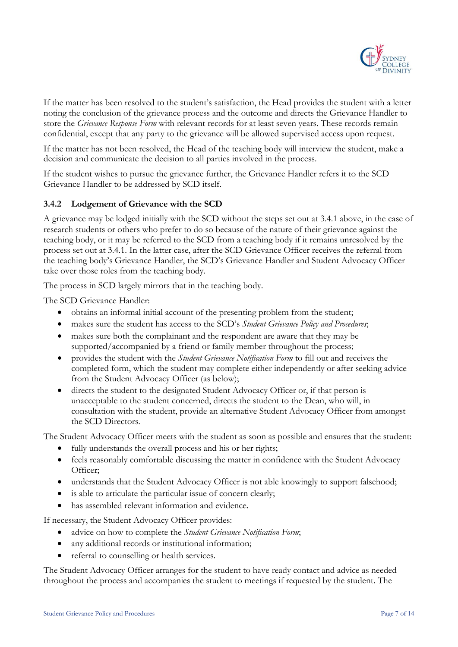

If the matter has been resolved to the student's satisfaction, the Head provides the student with a letter noting the conclusion of the grievance process and the outcome and directs the Grievance Handler to store the *Grievance Response Form* with relevant records for at least seven years. These records remain confidential, except that any party to the grievance will be allowed supervised access upon request.

If the matter has not been resolved, the Head of the teaching body will interview the student, make a decision and communicate the decision to all parties involved in the process.

If the student wishes to pursue the grievance further, the Grievance Handler refers it to the SCD Grievance Handler to be addressed by SCD itself.

#### **3.4.2 Lodgement of Grievance with the SCD**

A grievance may be lodged initially with the SCD without the steps set out at 3.4.1 above, in the case of research students or others who prefer to do so because of the nature of their grievance against the teaching body, or it may be referred to the SCD from a teaching body if it remains unresolved by the process set out at 3.4.1. In the latter case, after the SCD Grievance Officer receives the referral from the teaching body's Grievance Handler, the SCD's Grievance Handler and Student Advocacy Officer take over those roles from the teaching body.

The process in SCD largely mirrors that in the teaching body.

The SCD Grievance Handler:

- obtains an informal initial account of the presenting problem from the student;
- makes sure the student has access to the SCD's *Student Grievance Policy and Procedures*;
- makes sure both the complainant and the respondent are aware that they may be supported/accompanied by a friend or family member throughout the process;
- provides the student with the *Student Grievance Notification Form* to fill out and receives the completed form, which the student may complete either independently or after seeking advice from the Student Advocacy Officer (as below);
- directs the student to the designated Student Advocacy Officer or, if that person is unacceptable to the student concerned, directs the student to the Dean, who will, in consultation with the student, provide an alternative Student Advocacy Officer from amongst the SCD Directors.

The Student Advocacy Officer meets with the student as soon as possible and ensures that the student:

- fully understands the overall process and his or her rights;
- feels reasonably comfortable discussing the matter in confidence with the Student Advocacy Officer;
- understands that the Student Advocacy Officer is not able knowingly to support falsehood;
- is able to articulate the particular issue of concern clearly;
- has assembled relevant information and evidence.

If necessary, the Student Advocacy Officer provides:

- advice on how to complete the *Student Grievance Notification Form*;
- any additional records or institutional information;
- referral to counselling or health services.

The Student Advocacy Officer arranges for the student to have ready contact and advice as needed throughout the process and accompanies the student to meetings if requested by the student. The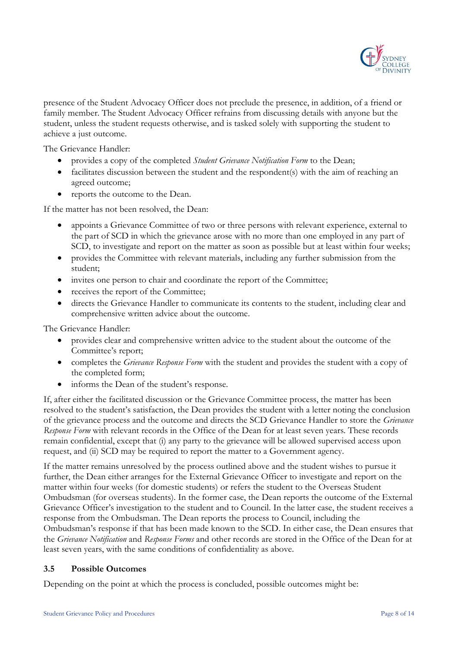

presence of the Student Advocacy Officer does not preclude the presence, in addition, of a friend or family member. The Student Advocacy Officer refrains from discussing details with anyone but the student, unless the student requests otherwise, and is tasked solely with supporting the student to achieve a just outcome.

The Grievance Handler:

- provides a copy of the completed *Student Grievance Notification Form* to the Dean;
- facilitates discussion between the student and the respondent(s) with the aim of reaching an agreed outcome;
- reports the outcome to the Dean.

If the matter has not been resolved, the Dean:

- appoints a Grievance Committee of two or three persons with relevant experience, external to the part of SCD in which the grievance arose with no more than one employed in any part of SCD, to investigate and report on the matter as soon as possible but at least within four weeks;
- provides the Committee with relevant materials, including any further submission from the student;
- invites one person to chair and coordinate the report of the Committee;
- receives the report of the Committee;
- directs the Grievance Handler to communicate its contents to the student, including clear and comprehensive written advice about the outcome.

The Grievance Handler:

- provides clear and comprehensive written advice to the student about the outcome of the Committee's report;
- completes the *Grievance Response Form* with the student and provides the student with a copy of the completed form;
- informs the Dean of the student's response.

If, after either the facilitated discussion or the Grievance Committee process, the matter has been resolved to the student's satisfaction, the Dean provides the student with a letter noting the conclusion of the grievance process and the outcome and directs the SCD Grievance Handler to store the *Grievance Response Form* with relevant records in the Office of the Dean for at least seven years. These records remain confidential, except that (i) any party to the grievance will be allowed supervised access upon request, and (ii) SCD may be required to report the matter to a Government agency.

If the matter remains unresolved by the process outlined above and the student wishes to pursue it further, the Dean either arranges for the External Grievance Officer to investigate and report on the matter within four weeks (for domestic students) or refers the student to the Overseas Student Ombudsman (for overseas students). In the former case, the Dean reports the outcome of the External Grievance Officer's investigation to the student and to Council. In the latter case, the student receives a response from the Ombudsman. The Dean reports the process to Council, including the Ombudsman's response if that has been made known to the SCD. In either case, the Dean ensures that the *Grievance Notification* and *Response Forms* and other records are stored in the Office of the Dean for at least seven years, with the same conditions of confidentiality as above.

#### **3.5 Possible Outcomes**

Depending on the point at which the process is concluded, possible outcomes might be: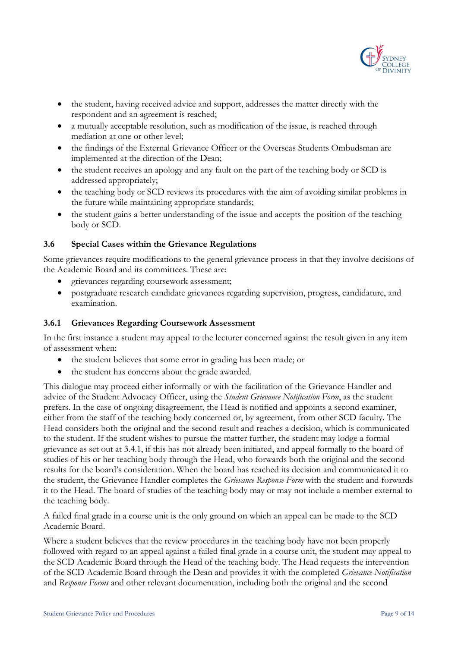

- the student, having received advice and support, addresses the matter directly with the respondent and an agreement is reached;
- a mutually acceptable resolution, such as modification of the issue, is reached through mediation at one or other level;
- the findings of the External Grievance Officer or the Overseas Students Ombudsman are implemented at the direction of the Dean;
- the student receives an apology and any fault on the part of the teaching body or SCD is addressed appropriately;
- the teaching body or SCD reviews its procedures with the aim of avoiding similar problems in the future while maintaining appropriate standards;
- the student gains a better understanding of the issue and accepts the position of the teaching body or SCD.

#### **3.6 Special Cases within the Grievance Regulations**

Some grievances require modifications to the general grievance process in that they involve decisions of the Academic Board and its committees. These are:

- grievances regarding coursework assessment;
- postgraduate research candidate grievances regarding supervision, progress, candidature, and examination.

#### **3.6.1 Grievances Regarding Coursework Assessment**

In the first instance a student may appeal to the lecturer concerned against the result given in any item of assessment when:

- the student believes that some error in grading has been made; or
- the student has concerns about the grade awarded.

This dialogue may proceed either informally or with the facilitation of the Grievance Handler and advice of the Student Advocacy Officer, using the *Student Grievance Notification Form*, as the student prefers. In the case of ongoing disagreement, the Head is notified and appoints a second examiner, either from the staff of the teaching body concerned or, by agreement, from other SCD faculty. The Head considers both the original and the second result and reaches a decision, which is communicated to the student. If the student wishes to pursue the matter further, the student may lodge a formal grievance as set out at 3.4.1, if this has not already been initiated, and appeal formally to the board of studies of his or her teaching body through the Head, who forwards both the original and the second results for the board's consideration. When the board has reached its decision and communicated it to the student, the Grievance Handler completes the *Grievance Response Form* with the student and forwards it to the Head. The board of studies of the teaching body may or may not include a member external to the teaching body.

A failed final grade in a course unit is the only ground on which an appeal can be made to the SCD Academic Board.

Where a student believes that the review procedures in the teaching body have not been properly followed with regard to an appeal against a failed final grade in a course unit, the student may appeal to the SCD Academic Board through the Head of the teaching body. The Head requests the intervention of the SCD Academic Board through the Dean and provides it with the completed *Grievance Notification*  and *Response Forms* and other relevant documentation, including both the original and the second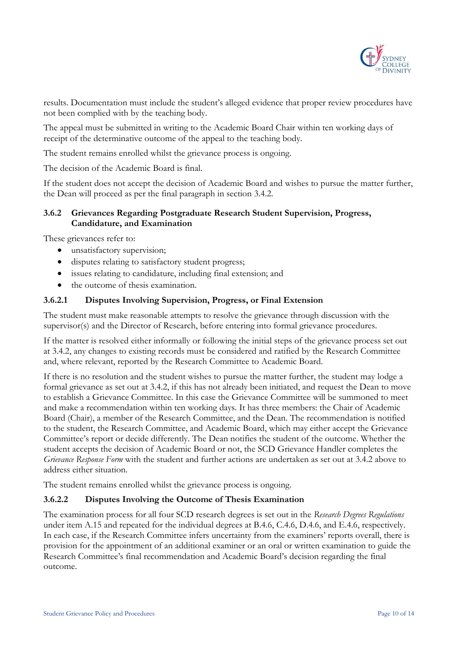

results. Documentation must include the student's alleged evidence that proper review procedures have not been complied with by the teaching body.

The appeal must be submitted in writing to the Academic Board Chair within ten working days of receipt of the determinative outcome of the appeal to the teaching body.

The student remains enrolled whilst the grievance process is ongoing.

The decision of the Academic Board is final.

If the student does not accept the decision of Academic Board and wishes to pursue the matter further, the Dean will proceed as per the final paragraph in section 3.4.2.

#### **3.6.2 Grievances Regarding Postgraduate Research Student Supervision, Progress, Candidature, and Examination**

These grievances refer to:

- unsatisfactory supervision;
- disputes relating to satisfactory student progress;
- issues relating to candidature, including final extension; and
- the outcome of thesis examination.

#### **3.6.2.1 Disputes Involving Supervision, Progress, or Final Extension**

The student must make reasonable attempts to resolve the grievance through discussion with the supervisor(s) and the Director of Research, before entering into formal grievance procedures.

If the matter is resolved either informally or following the initial steps of the grievance process set out at 3.4.2, any changes to existing records must be considered and ratified by the Research Committee and, where relevant, reported by the Research Committee to Academic Board.

If there is no resolution and the student wishes to pursue the matter further, the student may lodge a formal grievance as set out at 3.4.2, if this has not already been initiated, and request the Dean to move to establish a Grievance Committee. In this case the Grievance Committee will be summoned to meet and make a recommendation within ten working days. It has three members: the Chair of Academic Board (Chair), a member of the Research Committee, and the Dean. The recommendation is notified to the student, the Research Committee, and Academic Board, which may either accept the Grievance Committee's report or decide differently. The Dean notifies the student of the outcome. Whether the student accepts the decision of Academic Board or not, the SCD Grievance Handler completes the *Grievance Response Form* with the student and further actions are undertaken as set out at 3.4.2 above to address either situation.

The student remains enrolled whilst the grievance process is ongoing.

#### **3.6.2.2 Disputes Involving the Outcome of Thesis Examination**

The examination process for all four SCD research degrees is set out in the *Research Degrees Regulations* under item A.15 and repeated for the individual degrees at B.4.6, C.4.6, D.4.6, and E.4.6, respectively. In each case, if the Research Committee infers uncertainty from the examiners' reports overall, there is provision for the appointment of an additional examiner or an oral or written examination to guide the Research Committee's final recommendation and Academic Board's decision regarding the final outcome.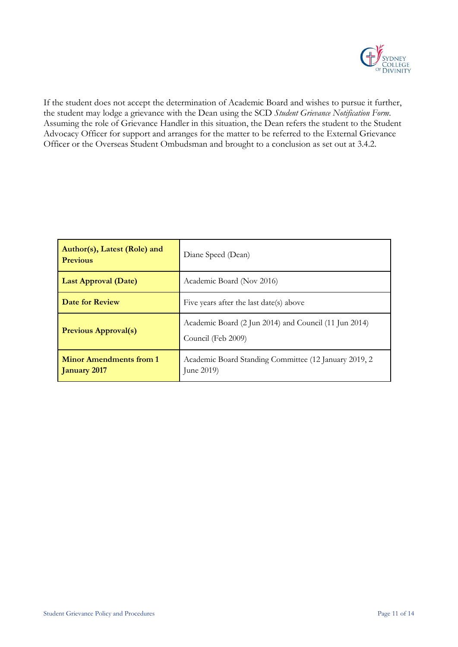

If the student does not accept the determination of Academic Board and wishes to pursue it further, the student may lodge a grievance with the Dean using the SCD *Student Grievance Notification Form*. Assuming the role of Grievance Handler in this situation, the Dean refers the student to the Student Advocacy Officer for support and arranges for the matter to be referred to the External Grievance Officer or the Overseas Student Ombudsman and brought to a conclusion as set out at 3.4.2.

| Author(s), Latest (Role) and<br><b>Previous</b> | Diane Speed (Dean)                                                          |
|-------------------------------------------------|-----------------------------------------------------------------------------|
| <b>Last Approval (Date)</b>                     | Academic Board (Nov 2016)                                                   |
| Date for Review                                 | Five years after the last date(s) above                                     |
| <b>Previous Approval(s)</b>                     | Academic Board (2 Jun 2014) and Council (11 Jun 2014)<br>Council (Feb 2009) |
| <b>Minor Amendments from 1</b><br>January 2017  | Academic Board Standing Committee (12 January 2019, 2)<br>June 2019)        |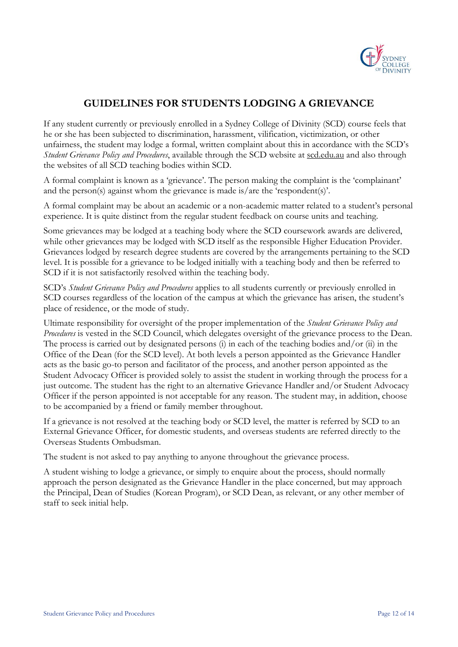

## **GUIDELINES FOR STUDENTS LODGING A GRIEVANCE**

If any student currently or previously enrolled in a Sydney College of Divinity (SCD) course feels that he or she has been subjected to discrimination, harassment, vilification, victimization, or other unfairness, the student may lodge a formal, written complaint about this in accordance with the SCD's *Student Grievance Policy and Procedures*, available through the SCD website at scd.edu.au and also through the websites of all SCD teaching bodies within SCD.

A formal complaint is known as a 'grievance'. The person making the complaint is the 'complainant' and the person(s) against whom the grievance is made is/are the 'respondent(s)'.

A formal complaint may be about an academic or a non-academic matter related to a student's personal experience. It is quite distinct from the regular student feedback on course units and teaching.

Some grievances may be lodged at a teaching body where the SCD coursework awards are delivered, while other grievances may be lodged with SCD itself as the responsible Higher Education Provider. Grievances lodged by research degree students are covered by the arrangements pertaining to the SCD level. It is possible for a grievance to be lodged initially with a teaching body and then be referred to SCD if it is not satisfactorily resolved within the teaching body.

SCD's *Student Grievance Policy and Procedures* applies to all students currently or previously enrolled in SCD courses regardless of the location of the campus at which the grievance has arisen, the student's place of residence, or the mode of study.

Ultimate responsibility for oversight of the proper implementation of the *Student Grievance Policy and Procedures* is vested in the SCD Council, which delegates oversight of the grievance process to the Dean. The process is carried out by designated persons (i) in each of the teaching bodies and/or (ii) in the Office of the Dean (for the SCD level). At both levels a person appointed as the Grievance Handler acts as the basic go-to person and facilitator of the process, and another person appointed as the Student Advocacy Officer is provided solely to assist the student in working through the process for a just outcome. The student has the right to an alternative Grievance Handler and/or Student Advocacy Officer if the person appointed is not acceptable for any reason. The student may, in addition, choose to be accompanied by a friend or family member throughout.

If a grievance is not resolved at the teaching body or SCD level, the matter is referred by SCD to an External Grievance Officer, for domestic students, and overseas students are referred directly to the Overseas Students Ombudsman.

The student is not asked to pay anything to anyone throughout the grievance process.

A student wishing to lodge a grievance, or simply to enquire about the process, should normally approach the person designated as the Grievance Handler in the place concerned, but may approach the Principal, Dean of Studies (Korean Program), or SCD Dean, as relevant, or any other member of staff to seek initial help.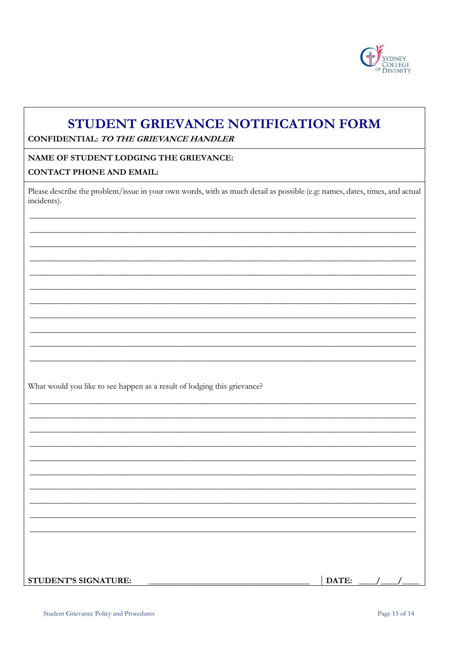

## STUDENT GRIEVANCE NOTIFICATION FORM

CONFIDENTIAL: TO THE GRIEVANCE HANDLER

#### **NAME OF STUDENT LODGING THE GRIEVANCE:**

#### **CONTACT PHONE AND EMAIL:**

Please describe the problem/issue in your own words, with as much detail as possible (e.g: names, dates, times, and actual incidents).

What would you like to see happen as a result of lodging this grievance?

DATE: